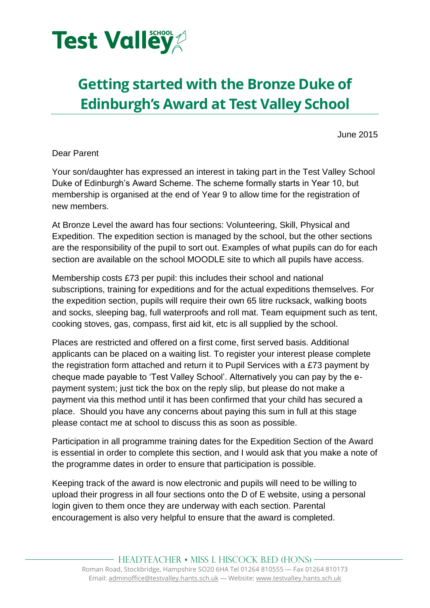

# **Getting started with the Bronze Duke of Edinburgh's Award at Test Valley School**

June 2015

Dear Parent

Your son/daughter has expressed an interest in taking part in the Test Valley School Duke of Edinburgh's Award Scheme. The scheme formally starts in Year 10, but membership is organised at the end of Year 9 to allow time for the registration of new members.

At Bronze Level the award has four sections: Volunteering, Skill, Physical and Expedition. The expedition section is managed by the school, but the other sections are the responsibility of the pupil to sort out. Examples of what pupils can do for each section are available on the school MOODLE site to which all pupils have access.

Membership costs £73 per pupil: this includes their school and national subscriptions, training for expeditions and for the actual expeditions themselves. For the expedition section, pupils will require their own 65 litre rucksack, walking boots and socks, sleeping bag, full waterproofs and roll mat. Team equipment such as tent, cooking stoves, gas, compass, first aid kit, etc is all supplied by the school.

Places are restricted and offered on a first come, first served basis. Additional applicants can be placed on a waiting list. To register your interest please complete the registration form attached and return it to Pupil Services with a £73 payment by cheque made payable to 'Test Valley School'. Alternatively you can pay by the epayment system; just tick the box on the reply slip, but please do not make a payment via this method until it has been confirmed that your child has secured a place. Should you have any concerns about paying this sum in full at this stage please contact me at school to discuss this as soon as possible.

Participation in all programme training dates for the Expedition Section of the Award is essential in order to complete this section, and I would ask that you make a note of the programme dates in order to ensure that participation is possible.

Keeping track of the award is now electronic and pupils will need to be willing to upload their progress in all four sections onto the D of E website, using a personal login given to them once they are underway with each section. Parental encouragement is also very helpful to ensure that the award is completed.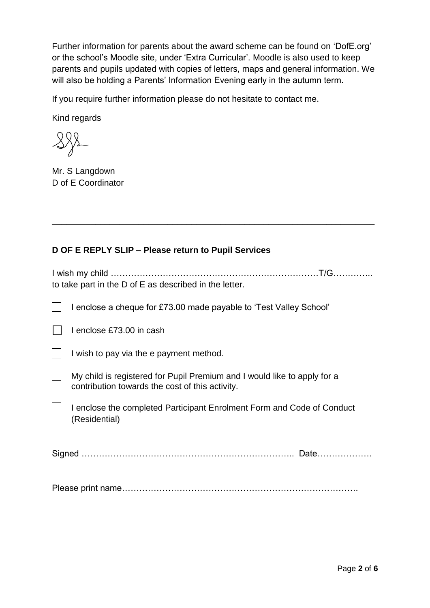Further information for parents about the award scheme can be found on 'DofE.org' or the school's Moodle site, under 'Extra Curricular'. Moodle is also used to keep parents and pupils updated with copies of letters, maps and general information. We will also be holding a Parents' Information Evening early in the autumn term.

If you require further information please do not hesitate to contact me.

Kind regards

Mr. S Langdown D of E Coordinator

### **D OF E REPLY SLIP – Please return to Pupil Services**

| to take part in the D of E as described in the letter. |  |
|--------------------------------------------------------|--|

\_\_\_\_\_\_\_\_\_\_\_\_\_\_\_\_\_\_\_\_\_\_\_\_\_\_\_\_\_\_\_\_\_\_\_\_\_\_\_\_\_\_\_\_\_\_\_\_\_\_\_\_\_\_\_\_\_\_\_\_\_\_\_\_\_\_\_

| I enclose a cheque for £73.00 made payable to 'Test Valley School'                                                          |
|-----------------------------------------------------------------------------------------------------------------------------|
| I enclose £73.00 in cash                                                                                                    |
| I wish to pay via the e payment method.                                                                                     |
| My child is registered for Pupil Premium and I would like to apply for a<br>contribution towards the cost of this activity. |
| I enclose the completed Participant Enrolment Form and Code of Conduct<br>(Residential)                                     |
| Date                                                                                                                        |
|                                                                                                                             |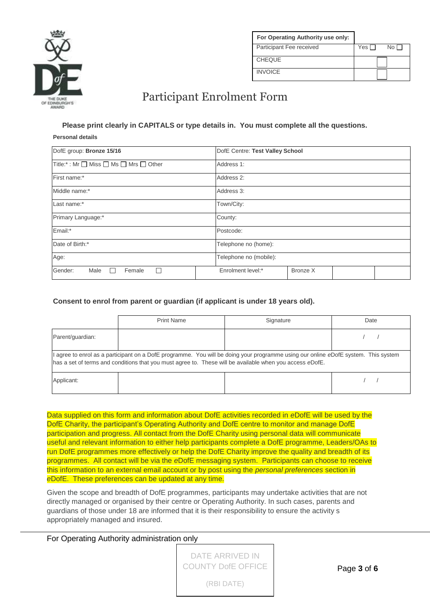

| For Operating Authority use only: |                |
|-----------------------------------|----------------|
| Participant Fee received          | Yes IT<br>No L |
| <b>CHEQUE</b>                     |                |
| <b>INVOICE</b>                    |                |

### Participant Enrolment Form

## **Please print clearly in CAPITALS or type details in. You must complete all the questions.**

#### **Personal details**

| DofE group: Bronze 15/16               | DofE Centre: Test Valley School |  |  |
|----------------------------------------|---------------------------------|--|--|
| Title:* : Mr □ Miss □ Ms □ Mrs □ Other | Address 1:                      |  |  |
| First name:*                           | Address 2:                      |  |  |
| Middle name:*                          | Address 3:                      |  |  |
| Last name:*                            | Town/City:                      |  |  |
| Primary Language:*                     | County:                         |  |  |
| Email:*                                | Postcode:                       |  |  |
| Date of Birth:*                        | Telephone no (home):            |  |  |
| Age:                                   | Telephone no (mobile):          |  |  |
| Gender:<br>Male<br>Female<br>ΙI        | Enrolment level:*<br>Bronze X   |  |  |

#### **Consent to enrol from parent or guardian (if applicant is under 18 years old).**

|                                                                                                                                                                                                                                                | <b>Print Name</b> | Signature | Date |
|------------------------------------------------------------------------------------------------------------------------------------------------------------------------------------------------------------------------------------------------|-------------------|-----------|------|
| Parent/guardian:                                                                                                                                                                                                                               |                   |           |      |
| I agree to enrol as a participant on a DofE programme. You will be doing your programme using our online eDofE system. This system<br>has a set of terms and conditions that you must agree to. These will be available when you access eDofE. |                   |           |      |
| Applicant:                                                                                                                                                                                                                                     |                   |           |      |

Data supplied on this form and information about DofE activities recorded in *e*DofE will be used by the DofE Charity, the participant's Operating Authority and DofE centre to monitor and manage DofE participation and progress. All contact from the DofE Charity using personal data will communicate useful and relevant information to either help participants complete a DofE programme, Leaders/OAs to run DofE programmes more effectively or help the DofE Charity improve the quality and breadth of its programmes. All contact will be via the *e*DofE messaging system. Participants can choose to receive this information to an external email account or by post using the *personal preferences* section in *e*DofE. These preferences can be updated at any time.

Given the scope and breadth of DofE programmes, participants may undertake activities that are not directly managed or organised by their centre or Operating Authority. In such cases, parents and guardians of those under 18 are informed that it is their responsibility to ensure the activity s appropriately managed and insured.

For Operating Authority administration only

| DATE ARRIVED IN           |
|---------------------------|
| <b>COUNTY DofE OFFICE</b> |
| (RBI DATE)                |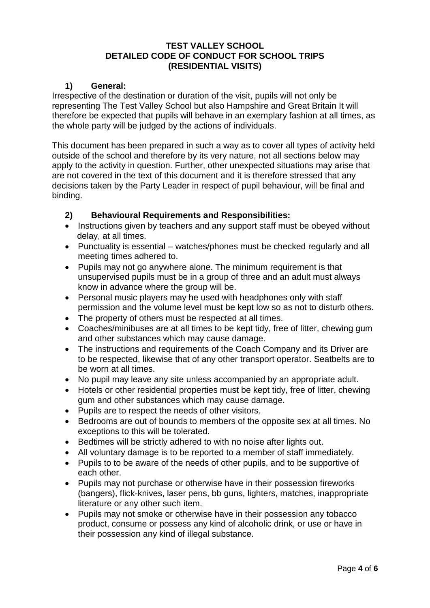#### **TEST VALLEY SCHOOL DETAILED CODE OF CONDUCT FOR SCHOOL TRIPS (RESIDENTIAL VISITS)**

#### **1) General:**

Irrespective of the destination or duration of the visit, pupils will not only be representing The Test Valley School but also Hampshire and Great Britain It will therefore be expected that pupils will behave in an exemplary fashion at all times, as the whole party will be judged by the actions of individuals.

This document has been prepared in such a way as to cover all types of activity held outside of the school and therefore by its very nature, not all sections below may apply to the activity in question. Further, other unexpected situations may arise that are not covered in the text of this document and it is therefore stressed that any decisions taken by the Party Leader in respect of pupil behaviour, will be final and binding.

#### **2) Behavioural Requirements and Responsibilities:**

- Instructions given by teachers and any support staff must be obeyed without delay, at all times.
- Punctuality is essential watches/phones must be checked regularly and all meeting times adhered to.
- Pupils may not go anywhere alone. The minimum requirement is that unsupervised pupils must be in a group of three and an adult must always know in advance where the group will be.
- Personal music players may he used with headphones only with staff permission and the volume level must be kept low so as not to disturb others.
- The property of others must be respected at all times.
- Coaches/minibuses are at all times to be kept tidy, free of litter, chewing gum and other substances which may cause damage.
- The instructions and requirements of the Coach Company and its Driver are to be respected, likewise that of any other transport operator. Seatbelts are to be worn at all times.
- No pupil may leave any site unless accompanied by an appropriate adult.
- Hotels or other residential properties must be kept tidy, free of litter, chewing gum and other substances which may cause damage.
- Pupils are to respect the needs of other visitors.
- Bedrooms are out of bounds to members of the opposite sex at all times. No exceptions to this will be tolerated.
- Bedtimes will be strictly adhered to with no noise after lights out.
- All voluntary damage is to be reported to a member of staff immediately.
- Pupils to to be aware of the needs of other pupils, and to be supportive of each other.
- Pupils may not purchase or otherwise have in their possession fireworks (bangers), flick-knives, laser pens, bb guns, lighters, matches, inappropriate literature or any other such item.
- Pupils may not smoke or otherwise have in their possession any tobacco product, consume or possess any kind of alcoholic drink, or use or have in their possession any kind of illegal substance.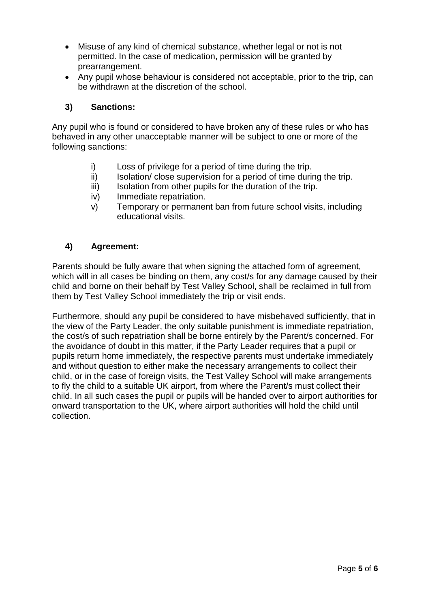- Misuse of any kind of chemical substance, whether legal or not is not permitted. In the case of medication, permission will be granted by prearrangement.
- Any pupil whose behaviour is considered not acceptable, prior to the trip, can be withdrawn at the discretion of the school.

#### **3) Sanctions:**

Any pupil who is found or considered to have broken any of these rules or who has behaved in any other unacceptable manner will be subject to one or more of the following sanctions:

- i) Loss of privilege for a period of time during the trip.
- ii) Isolation/ close supervision for a period of time during the trip.
- iii) Isolation from other pupils for the duration of the trip.
- iv) Immediate repatriation.
- v) Temporary or permanent ban from future school visits, including educational visits.

#### **4) Agreement:**

Parents should be fully aware that when signing the attached form of agreement, which will in all cases be binding on them, any cost/s for any damage caused by their child and borne on their behalf by Test Valley School, shall be reclaimed in full from them by Test Valley School immediately the trip or visit ends.

Furthermore, should any pupil be considered to have misbehaved sufficiently, that in the view of the Party Leader, the only suitable punishment is immediate repatriation, the cost/s of such repatriation shall be borne entirely by the Parent/s concerned. For the avoidance of doubt in this matter, if the Party Leader requires that a pupil or pupils return home immediately, the respective parents must undertake immediately and without question to either make the necessary arrangements to collect their child, or in the case of foreign visits, the Test Valley School will make arrangements to fly the child to a suitable UK airport, from where the Parent/s must collect their child. In all such cases the pupil or pupils will be handed over to airport authorities for onward transportation to the UK, where airport authorities will hold the child until collection.